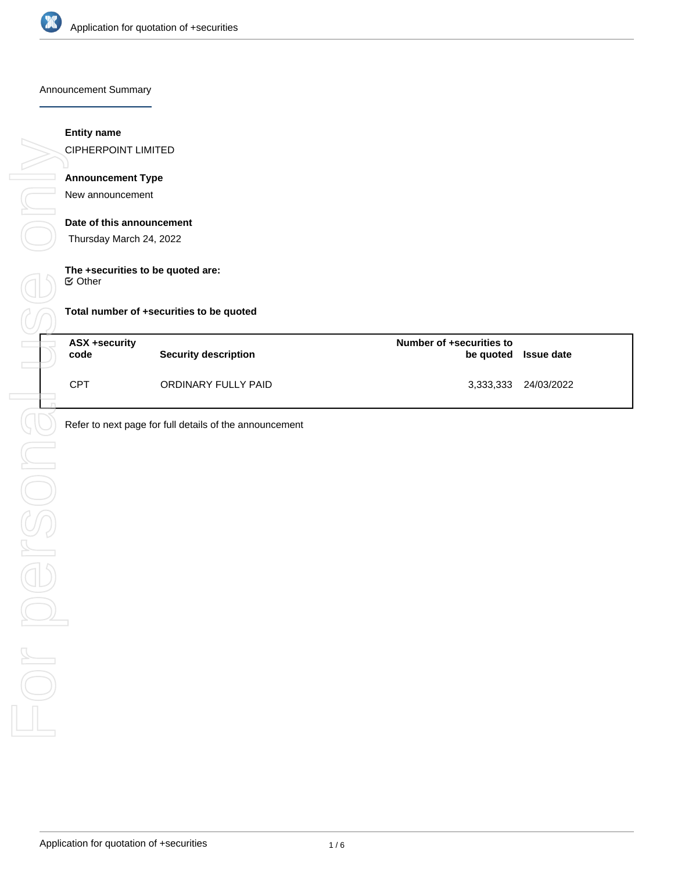

Announcement Summary

### **Entity name**

CIPHERPOINT LIMITED

# **Announcement Type**

New announcement

### **Date of this announcement**

Thursday March 24, 2022

# **The +securities to be quoted are:**

 $⊜$  Other

**Total number of +securities to be quoted**

| ASX +security<br>code | <b>Security description</b> | Number of +securities to | be quoted Issue date |
|-----------------------|-----------------------------|--------------------------|----------------------|
| <b>CPT</b>            | ORDINARY FULLY PAID         |                          | 3,333,333 24/03/2022 |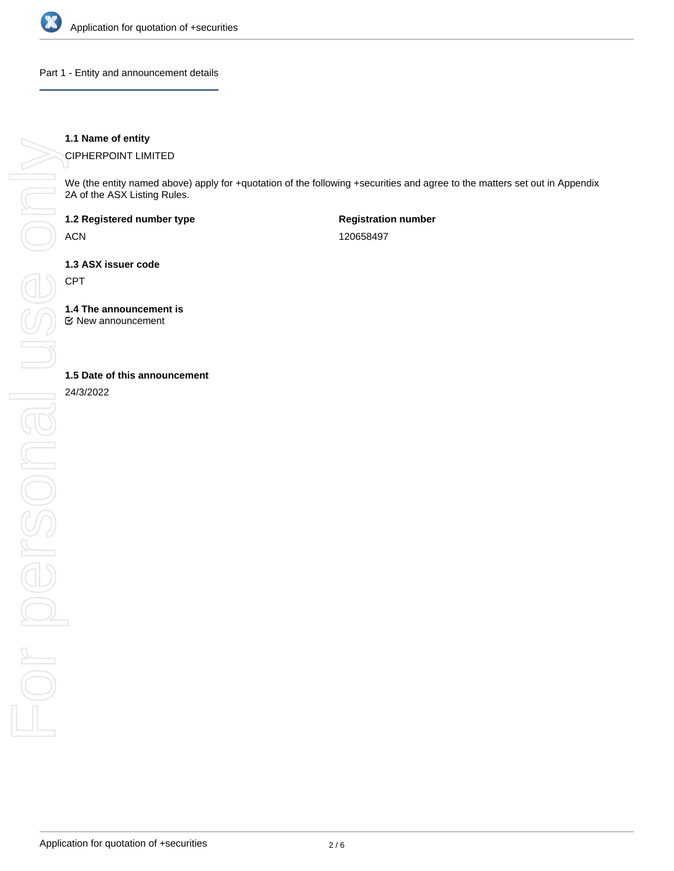

Part 1 - Entity and announcement details

## **1.1 Name of entity**

CIPHERPOINT LIMITED

We (the entity named above) apply for +quotation of the following +securities and agree to the matters set out in Appendix 2A of the ASX Listing Rules.

**1.2 Registered number type**

ACN

**Registration number** 120658497

**1.3 ASX issuer code**

CPT

**1.4 The announcement is**

New announcement

24/3/2022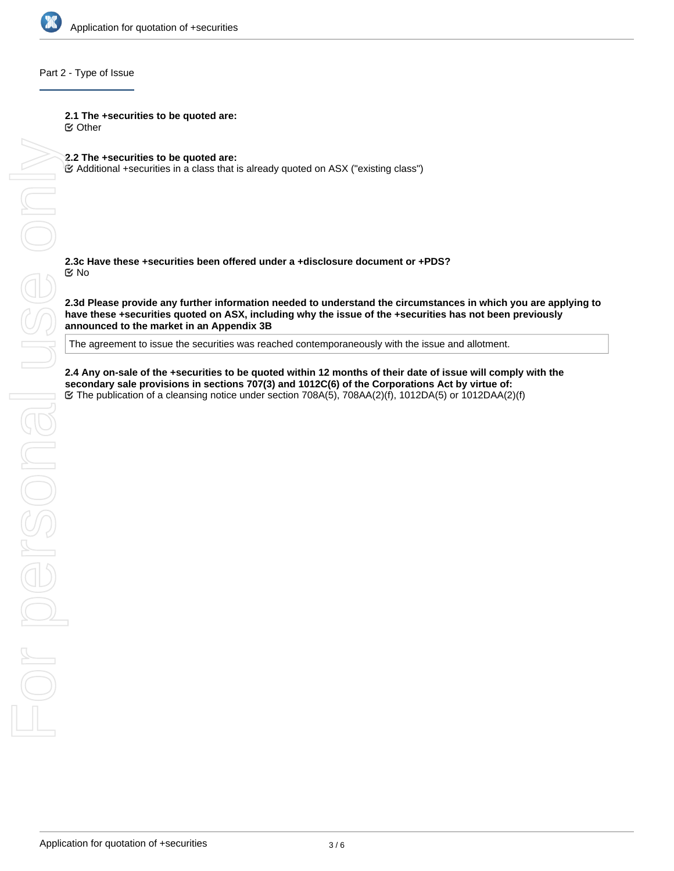

### Part 2 - Type of Issue

**2.1 The +securities to be quoted are:**

Other

**2.2 The +securities to be quoted are:**

Additional +securities in a class that is already quoted on ASX ("existing class")

**2.3c Have these +securities been offered under a +disclosure document or +PDS?** No

**2.3d Please provide any further information needed to understand the circumstances in which you are applying to have these +securities quoted on ASX, including why the issue of the +securities has not been previously announced to the market in an Appendix 3B**

The agreement to issue the securities was reached contemporaneously with the issue and allotment.

**secondary sale provisions in sections 707(3) and 1012C(6) of the Corporations Act by virtue of:** The publication of a cleansing notice under section 708A(5), 708AA(2)(f), 1012DA(5) or 1012DAA(2)(f)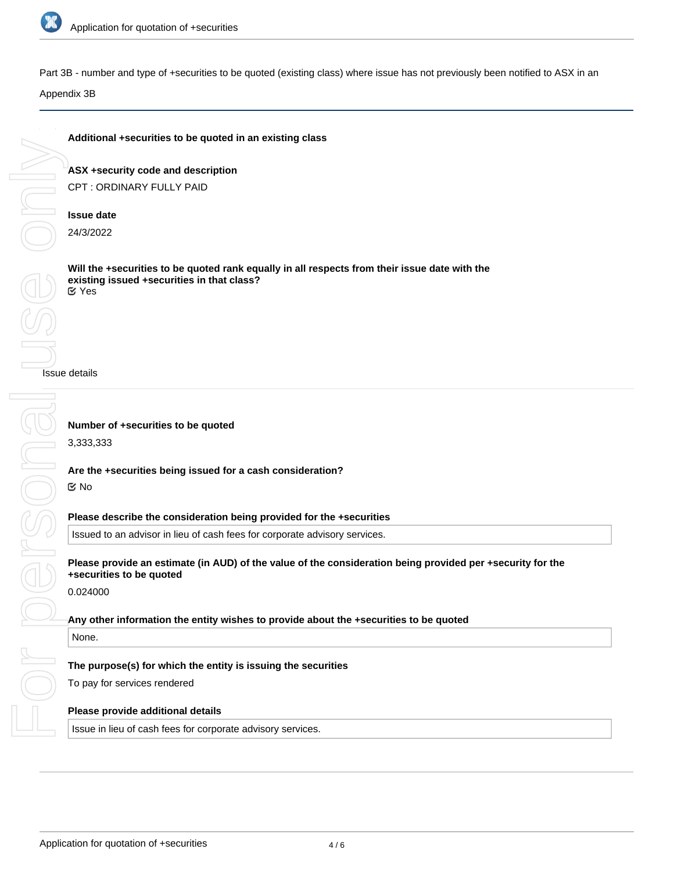

Onl

Part 3B - number and type of +securities to be quoted (existing class) where issue has not previously been notified to ASX in an

Appendix 3B

# **Additional +securities to be quoted in an existing class**

**ASX +security code and description** CPT : ORDINARY FULLY PAID

# **Issue date**

24/3/2022

**Will the +securities to be quoted rank equally in all respects from their issue date with the existing issued +securities in that class?** Yes

Issue details

# **Any other information the entity wishes to provide about the +securities to be quoted**

### None.

## **The purpose(s) for which the entity is issuing the securities**

Issued to an advisor in lieu of cash fees for corporate advisory services.

To pay for services rendered

### **Please provide additional details**

Issue in lieu of cash fees for corporate advisory services.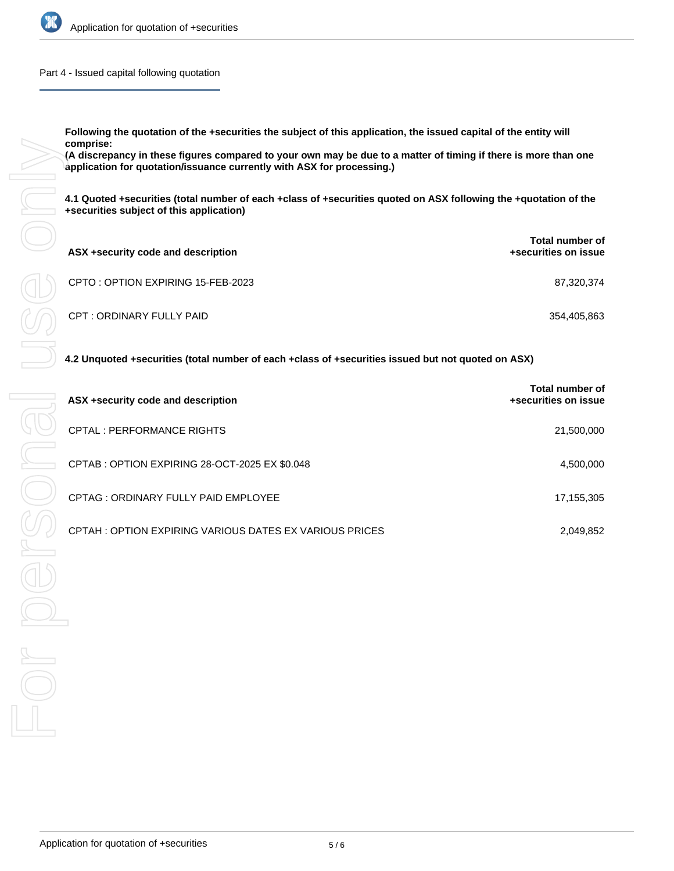

Part 4 - Issued capital following quotation

**Following the quotation of the +securities the subject of this application, the issued capital of the entity will comprise:**

**(A discrepancy in these figures compared to your own may be due to a matter of timing if there is more than one application for quotation/issuance currently with ASX for processing.)**

**4.1 Quoted +securities (total number of each +class of +securities quoted on ASX following the +quotation of the +securities subject of this application)**

| ASX +security code and description | <b>Total number of</b><br>+securities on issue |
|------------------------------------|------------------------------------------------|
| CPTO: OPTION EXPIRING 15-FEB-2023  | 87,320,374                                     |
| CPT : ORDINARY FULLY PAID          | 354,405,863                                    |

**4.2 Unquoted +securities (total number of each +class of +securities issued but not quoted on ASX)**

| ASX +security code and description                     | Total number of<br>+securities on issue |
|--------------------------------------------------------|-----------------------------------------|
| CPTAL : PERFORMANCE RIGHTS                             | 21,500,000                              |
| CPTAB : OPTION EXPIRING 28-OCT-2025 EX \$0.048         | 4,500,000                               |
| CPTAG: ORDINARY FULLY PAID EMPLOYEE                    | 17,155,305                              |
| CPTAH: OPTION EXPIRING VARIOUS DATES EX VARIOUS PRICES | 2,049,852                               |